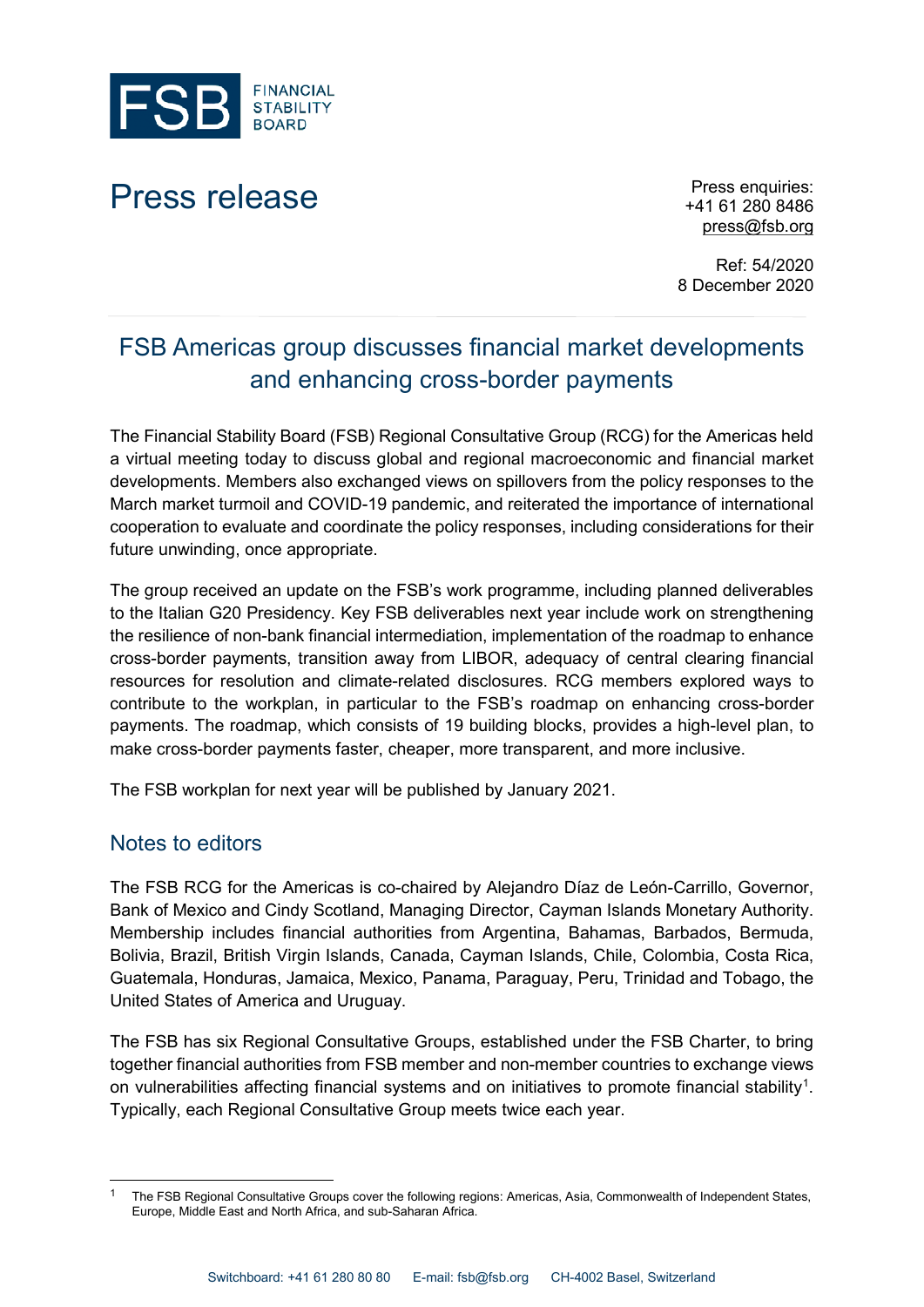

## Press release Press enquiries:

+41 61 280 8486 [press@fsb.org](mailto:press@fsb.org)

Ref: 54/2020 8 December 2020

## FSB Americas group discusses financial market developments and enhancing cross-border payments

The Financial Stability Board (FSB) Regional Consultative Group (RCG) for the Americas held a virtual meeting today to discuss global and regional macroeconomic and financial market developments. Members also exchanged views on spillovers from the policy responses to the March market turmoil and COVID-19 pandemic, and reiterated the importance of international cooperation to evaluate and coordinate the policy responses, including considerations for their future unwinding, once appropriate.

The group received an update on the FSB's work programme, including planned deliverables to the Italian G20 Presidency. Key FSB deliverables next year include work on strengthening the resilience of non-bank financial intermediation, implementation of the roadmap to enhance cross-border payments, transition away from LIBOR, adequacy of central clearing financial resources for resolution and climate-related disclosures. RCG members explored ways to contribute to the workplan, in particular to the FSB's roadmap on enhancing cross-border payments. The roadmap, which consists of 19 building blocks, provides a high-level plan, to make cross-border payments faster, cheaper, more transparent, and more inclusive.

The FSB workplan for next year will be published by January 2021.

## Notes to editors

The FSB RCG for the Americas is co-chaired by Alejandro Díaz de León-Carrillo, Governor, Bank of Mexico and Cindy Scotland, Managing Director, Cayman Islands Monetary Authority. Membership includes financial authorities from Argentina, Bahamas, Barbados, Bermuda, Bolivia, Brazil, British Virgin Islands, Canada, Cayman Islands, Chile, Colombia, Costa Rica, Guatemala, Honduras, Jamaica, Mexico, Panama, Paraguay, Peru, Trinidad and Tobago, the United States of America and Uruguay.

The FSB has six Regional Consultative Groups, established under the FSB Charter, to bring together financial authorities from FSB member and non-member countries to exchange views on vulnerabilities affecting financial systems and on initiatives to promote financial stability<sup>[1](#page-0-0)</sup>. Typically, each Regional Consultative Group meets twice each year.

<span id="page-0-0"></span> <sup>1</sup> The FSB Regional Consultative Groups cover the following regions: Americas, Asia, Commonwealth of Independent States, Europe, Middle East and North Africa, and sub-Saharan Africa.